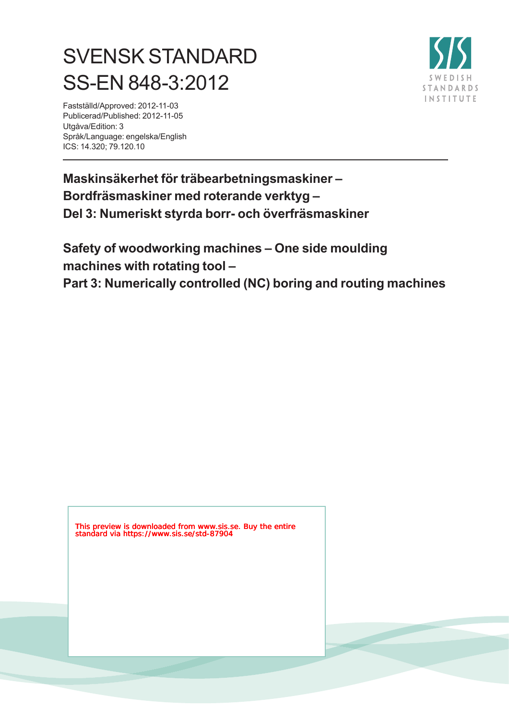# SVENSK STANDARD SS-EN 848-3:2012



Fastställd/Approved: 2012-11-03 Publicerad/Published: 2012-11-05 Utgåva/Edition: 3 Språk/Language: engelska/English ICS: 14.320; 79.120.10

**Maskinsäkerhet för träbearbetningsmaskiner – Bordfräsmaskiner med roterande verktyg – Del 3: Numeriskt styrda borr- och överfräsmaskiner**

**Safety of woodworking machines – One side moulding machines with rotating tool –** 

**Part 3: Numerically controlled (NC) boring and routing machines**

This preview is downloaded from www.sis.se. Buy the entire standard via https://www.sis.se/std-87904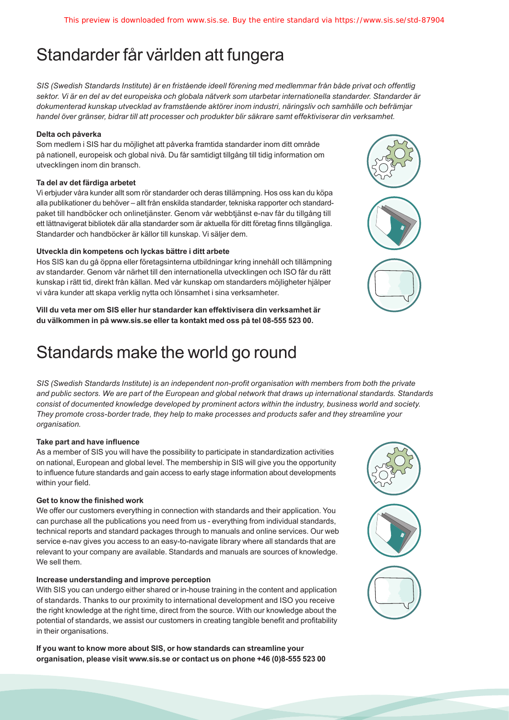## Standarder får världen att fungera

*SIS (Swedish Standards Institute) är en fristående ideell förening med medlemmar från både privat och offentlig sektor. Vi är en del av det europeiska och globala nätverk som utarbetar internationella standarder. Standarder är dokumenterad kunskap utvecklad av framstående aktörer inom industri, näringsliv och samhälle och befrämjar handel över gränser, bidrar till att processer och produkter blir säkrare samt effektiviserar din verksamhet.* 

### **Delta och påverka**

Som medlem i SIS har du möjlighet att påverka framtida standarder inom ditt område på nationell, europeisk och global nivå. Du får samtidigt tillgång till tidig information om utvecklingen inom din bransch.

### **Ta del av det färdiga arbetet**

Vi erbjuder våra kunder allt som rör standarder och deras tillämpning. Hos oss kan du köpa alla publikationer du behöver – allt från enskilda standarder, tekniska rapporter och standardpaket till handböcker och onlinetjänster. Genom vår webbtjänst e-nav får du tillgång till ett lättnavigerat bibliotek där alla standarder som är aktuella för ditt företag finns tillgängliga. Standarder och handböcker är källor till kunskap. Vi säljer dem.

### **Utveckla din kompetens och lyckas bättre i ditt arbete**

Hos SIS kan du gå öppna eller företagsinterna utbildningar kring innehåll och tillämpning av standarder. Genom vår närhet till den internationella utvecklingen och ISO får du rätt kunskap i rätt tid, direkt från källan. Med vår kunskap om standarders möjligheter hjälper vi våra kunder att skapa verklig nytta och lönsamhet i sina verksamheter.

**Vill du veta mer om SIS eller hur standarder kan effektivisera din verksamhet är du välkommen in på www.sis.se eller ta kontakt med oss på tel 08-555 523 00.**

## Standards make the world go round

*SIS (Swedish Standards Institute) is an independent non-profit organisation with members from both the private and public sectors. We are part of the European and global network that draws up international standards. Standards consist of documented knowledge developed by prominent actors within the industry, business world and society. They promote cross-border trade, they help to make processes and products safer and they streamline your organisation.*

### **Take part and have influence**

As a member of SIS you will have the possibility to participate in standardization activities on national, European and global level. The membership in SIS will give you the opportunity to influence future standards and gain access to early stage information about developments within your field.

### **Get to know the finished work**

We offer our customers everything in connection with standards and their application. You can purchase all the publications you need from us - everything from individual standards, technical reports and standard packages through to manuals and online services. Our web service e-nav gives you access to an easy-to-navigate library where all standards that are relevant to your company are available. Standards and manuals are sources of knowledge. We sell them.

#### **Increase understanding and improve perception**

With SIS you can undergo either shared or in-house training in the content and application of standards. Thanks to our proximity to international development and ISO you receive the right knowledge at the right time, direct from the source. With our knowledge about the potential of standards, we assist our customers in creating tangible benefit and profitability in their organisations.

**If you want to know more about SIS, or how standards can streamline your organisation, please visit www.sis.se or contact us on phone +46 (0)8-555 523 00**



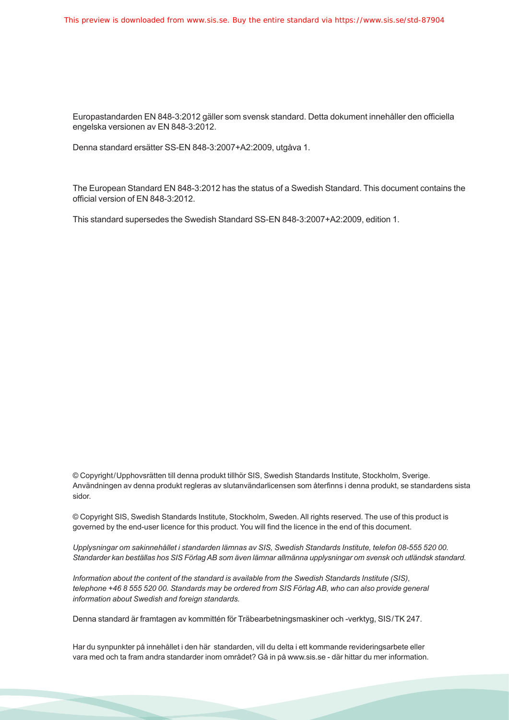Europastandarden EN 848-3:2012 gäller som svensk standard. Detta dokument innehåller den officiella engelska versionen av EN 848-3:2012.

Denna standard ersätter SS-EN 848-3:2007+A2:2009, utgåva 1.

The European Standard EN 848-3:2012 has the status of a Swedish Standard. This document contains the official version of EN 848-3:2012.

This standard supersedes the Swedish Standard SS-EN 848-3:2007+A2:2009, edition 1.

© Copyright / Upphovsrätten till denna produkt tillhör SIS, Swedish Standards Institute, Stockholm, Sverige. Användningen av denna produkt regleras av slutanvändarlicensen som återfinns i denna produkt, se standardens sista sidor.

© Copyright SIS, Swedish Standards Institute, Stockholm, Sweden. All rights reserved. The use of this product is governed by the end-user licence for this product. You will find the licence in the end of this document.

*Upplysningar om sakinnehållet i standarden lämnas av SIS, Swedish Standards Institute, telefon 08-555 520 00. Standarder kan beställas hos SIS Förlag AB som även lämnar allmänna upplysningar om svensk och utländsk standard.*

*Information about the content of the standard is available from the Swedish Standards Institute (SIS), telephone +46 8 555 520 00. Standards may be ordered from SIS Förlag AB, who can also provide general information about Swedish and foreign standards.*

Denna standard är framtagen av kommittén för Träbearbetningsmaskiner och -verktyg, SIS / TK 247.

Har du synpunkter på innehållet i den här standarden, vill du delta i ett kommande revideringsarbete eller vara med och ta fram andra standarder inom området? Gå in på www.sis.se - där hittar du mer information.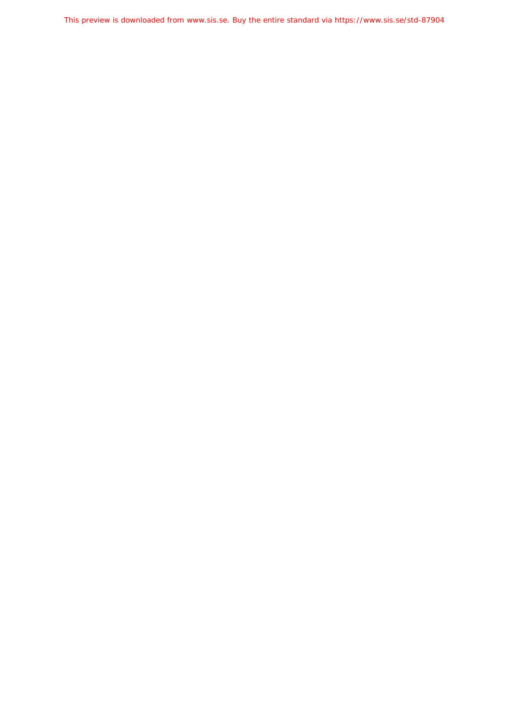This preview is downloaded from www.sis.se. Buy the entire standard via https://www.sis.se/std-87904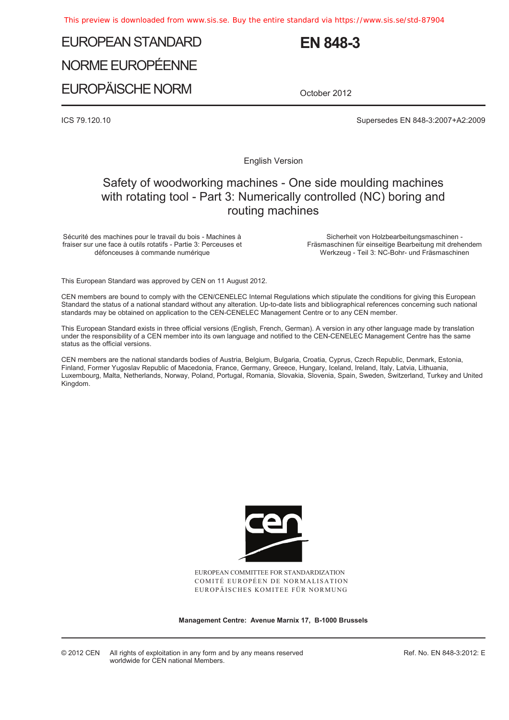## EUROPEAN STANDARD NORME EUROPÉENNE EUROPÄISCHE NORM

## **EN 848-3**

October 2012

ICS 79.120.10 Supersedes EN 848-3:2007+A2:2009

English Version

### Safety of woodworking machines - One side moulding machines with rotating tool - Part 3: Numerically controlled (NC) boring and routing machines

Sécurité des machines pour le travail du bois - Machines à fraiser sur une face à outils rotatifs - Partie 3: Perceuses et défonceuses à commande numérique

Sicherheit von Holzbearbeitungsmaschinen - Fräsmaschinen für einseitige Bearbeitung mit drehendem Werkzeug - Teil 3: NC-Bohr- und Fräsmaschinen

This European Standard was approved by CEN on 11 August 2012.

CEN members are bound to comply with the CEN/CENELEC Internal Regulations which stipulate the conditions for giving this European Standard the status of a national standard without any alteration. Up-to-date lists and bibliographical references concerning such national standards may be obtained on application to the CEN-CENELEC Management Centre or to any CEN member.

This European Standard exists in three official versions (English, French, German). A version in any other language made by translation under the responsibility of a CEN member into its own language and notified to the CEN-CENELEC Management Centre has the same status as the official versions.

CEN members are the national standards bodies of Austria, Belgium, Bulgaria, Croatia, Cyprus, Czech Republic, Denmark, Estonia, Finland, Former Yugoslav Republic of Macedonia, France, Germany, Greece, Hungary, Iceland, Ireland, Italy, Latvia, Lithuania, Luxembourg, Malta, Netherlands, Norway, Poland, Portugal, Romania, Slovakia, Slovenia, Spain, Sweden, Switzerland, Turkey and United Kingdom.



EUROPEAN COMMITTEE FOR STANDARDIZATION COMITÉ EUROPÉEN DE NORMALISATION EUROPÄISCHES KOMITEE FÜR NORMUNG

**Management Centre: Avenue Marnix 17, B-1000 Brussels** 

Ref. No. EN 848-3:2012: E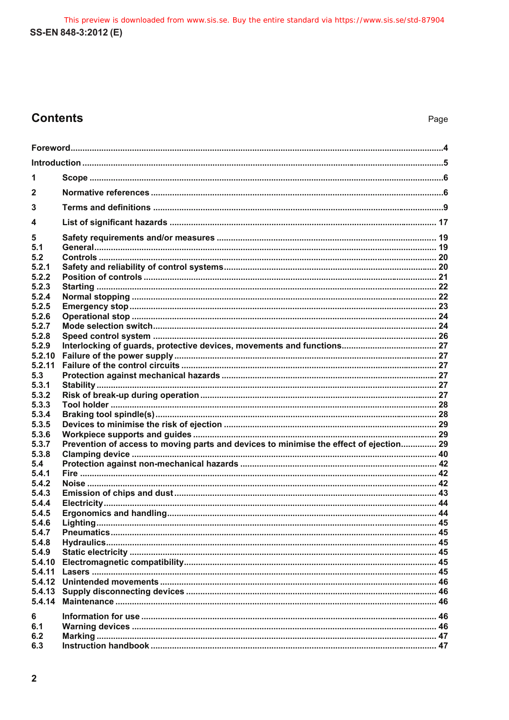This preview is downloaded from www.sis.se. Buy the entire standard via https://www.sis.se/std-87904 SS-EN 848-3:2012 (E)

## **Contents**

| 1                                                                                                                                                                                                          |                                                                                        |  |  |
|------------------------------------------------------------------------------------------------------------------------------------------------------------------------------------------------------------|----------------------------------------------------------------------------------------|--|--|
| $\mathbf{2}$                                                                                                                                                                                               |                                                                                        |  |  |
| 3                                                                                                                                                                                                          |                                                                                        |  |  |
| 4                                                                                                                                                                                                          |                                                                                        |  |  |
| 5<br>5.1<br>5.2<br>5.2.1<br>5.2.2<br>5.2.3<br>5.2.4<br>5.2.5<br>5.2.6<br>5.2.7<br>5.2.8<br>5.2.9<br>5.2.10<br>5.2.11<br>5.3<br>5.3.1<br>5.3.2<br>5.3.3<br>5.3.4<br>5.3.5<br>5.3.6<br>5.3.7<br>5.3.8<br>5.4 | Prevention of access to moving parts and devices to minimise the effect of ejection 29 |  |  |
| 5.4.1<br>5.4.2<br>5.4.3<br>5.4.4<br>5.4.5<br>5.4.6<br>5.4.7<br>5.4.8                                                                                                                                       |                                                                                        |  |  |
| 5.4.9<br>5.4.10<br>5.4.11<br>5.4.12<br>5.4.13<br>5.4.14                                                                                                                                                    |                                                                                        |  |  |
| 6<br>6.1<br>6.2<br>6.3                                                                                                                                                                                     |                                                                                        |  |  |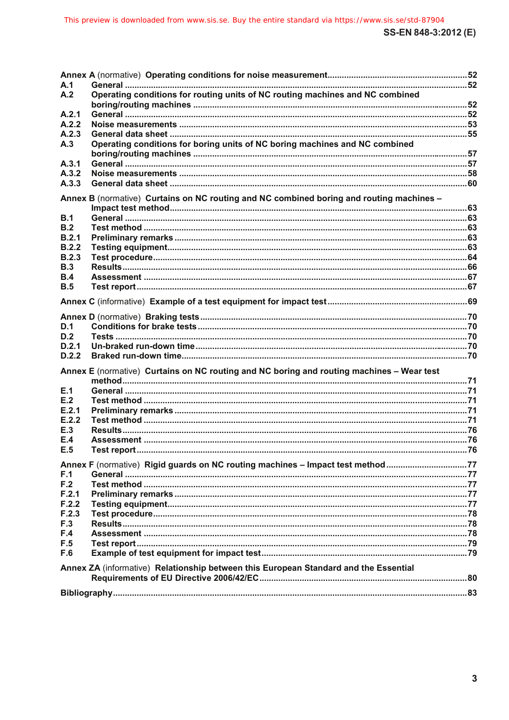| A.1                                                                                      |                                                                                           |  |  |  |
|------------------------------------------------------------------------------------------|-------------------------------------------------------------------------------------------|--|--|--|
| A.2                                                                                      | Operating conditions for routing units of NC routing machines and NC combined             |  |  |  |
|                                                                                          |                                                                                           |  |  |  |
| A.2.1                                                                                    |                                                                                           |  |  |  |
| A.2.2                                                                                    |                                                                                           |  |  |  |
| A.2.3                                                                                    |                                                                                           |  |  |  |
| A.3                                                                                      | Operating conditions for boring units of NC boring machines and NC combined               |  |  |  |
| A.3.1                                                                                    |                                                                                           |  |  |  |
|                                                                                          |                                                                                           |  |  |  |
| A.3.2                                                                                    |                                                                                           |  |  |  |
| A.3.3                                                                                    |                                                                                           |  |  |  |
| Annex B (normative) Curtains on NC routing and NC combined boring and routing machines - |                                                                                           |  |  |  |
|                                                                                          |                                                                                           |  |  |  |
| B.1                                                                                      |                                                                                           |  |  |  |
| B.2                                                                                      |                                                                                           |  |  |  |
| B.2.1                                                                                    |                                                                                           |  |  |  |
| B.2.2                                                                                    |                                                                                           |  |  |  |
| B.2.3                                                                                    |                                                                                           |  |  |  |
| B.3                                                                                      |                                                                                           |  |  |  |
| B.4                                                                                      |                                                                                           |  |  |  |
| B.5                                                                                      |                                                                                           |  |  |  |
|                                                                                          |                                                                                           |  |  |  |
|                                                                                          |                                                                                           |  |  |  |
|                                                                                          |                                                                                           |  |  |  |
| D.1                                                                                      |                                                                                           |  |  |  |
| D.2                                                                                      |                                                                                           |  |  |  |
| D.2.1                                                                                    |                                                                                           |  |  |  |
| D.2.2                                                                                    |                                                                                           |  |  |  |
|                                                                                          | Annex E (normative) Curtains on NC routing and NC boring and routing machines - Wear test |  |  |  |
|                                                                                          |                                                                                           |  |  |  |
| E.1                                                                                      |                                                                                           |  |  |  |
| E.2                                                                                      |                                                                                           |  |  |  |
| E.2.1                                                                                    |                                                                                           |  |  |  |
| E.2.2                                                                                    |                                                                                           |  |  |  |
| E.3                                                                                      |                                                                                           |  |  |  |
| <b>E4</b>                                                                                |                                                                                           |  |  |  |
| E.5                                                                                      |                                                                                           |  |  |  |
|                                                                                          |                                                                                           |  |  |  |
|                                                                                          | Annex F (normative) Rigid guards on NC routing machines - Impact test method77            |  |  |  |
| F.1                                                                                      |                                                                                           |  |  |  |
| F.2                                                                                      |                                                                                           |  |  |  |
| F.2.1                                                                                    |                                                                                           |  |  |  |
| F.2.2                                                                                    |                                                                                           |  |  |  |
| F.2.3                                                                                    |                                                                                           |  |  |  |
| F.3                                                                                      |                                                                                           |  |  |  |
| F.4                                                                                      |                                                                                           |  |  |  |
| F.5                                                                                      |                                                                                           |  |  |  |
| F.6                                                                                      |                                                                                           |  |  |  |
|                                                                                          |                                                                                           |  |  |  |
|                                                                                          | Annex ZA (informative) Relationship between this European Standard and the Essential      |  |  |  |
|                                                                                          |                                                                                           |  |  |  |
|                                                                                          |                                                                                           |  |  |  |
|                                                                                          |                                                                                           |  |  |  |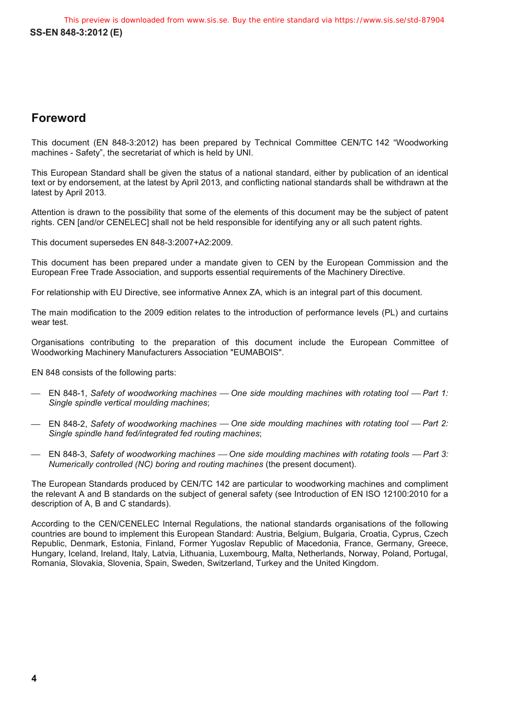### **Foreword**

This document (EN 848-3:2012) has been prepared by Technical Committee CEN/TC 142 "Woodworking machines - Safety", the secretariat of which is held by UNI.

This European Standard shall be given the status of a national standard, either by publication of an identical text or by endorsement, at the latest by April 2013, and conflicting national standards shall be withdrawn at the latest by April 2013.

Attention is drawn to the possibility that some of the elements of this document may be the subject of patent rights. CEN [and/or CENELEC] shall not be held responsible for identifying any or all such patent rights.

This document supersedes EN 848-3:2007+A2:2009.

This document has been prepared under a mandate given to CEN by the European Commission and the European Free Trade Association, and supports essential requirements of the Machinery Directive.

For relationship with EU Directive, see informative Annex ZA, which is an integral part of this document.

The main modification to the 2009 edition relates to the introduction of performance levels (PL) and curtains wear test.

Organisations contributing to the preparation of this document include the European Committee of Woodworking Machinery Manufacturers Association "EUMABOIS".

EN 848 consists of the following parts:

- EN 848-1, Safety of woodworking machines One side moulding machines with rotating tool Part 1: *Single spindle vertical moulding machines*;
- EN 848-2, *Safety of woodworking machines One side moulding machines with rotating tool Part 2: Single spindle hand fed/integrated fed routing machines*;
- EN 848-3, *Safety of woodworking machines One side moulding machines with rotating tools Part 3: Numerically controlled (NC) boring and routing machines* (the present document).

The European Standards produced by CEN/TC 142 are particular to woodworking machines and compliment the relevant A and B standards on the subject of general safety (see Introduction of EN ISO 12100:2010 for a description of A, B and C standards).

According to the CEN/CENELEC Internal Regulations, the national standards organisations of the following countries are bound to implement this European Standard: Austria, Belgium, Bulgaria, Croatia, Cyprus, Czech Republic, Denmark, Estonia, Finland, Former Yugoslav Republic of Macedonia, France, Germany, Greece, Hungary, Iceland, Ireland, Italy, Latvia, Lithuania, Luxembourg, Malta, Netherlands, Norway, Poland, Portugal, Romania, Slovakia, Slovenia, Spain, Sweden, Switzerland, Turkey and the United Kingdom.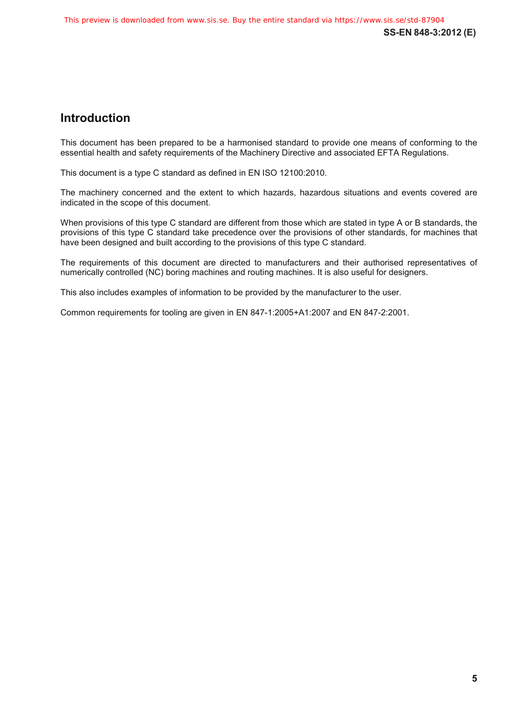### **Introduction**

This document has been prepared to be a harmonised standard to provide one means of conforming to the essential health and safety requirements of the Machinery Directive and associated EFTA Regulations.

This document is a type C standard as defined in EN ISO 12100:2010.

The machinery concerned and the extent to which hazards, hazardous situations and events covered are indicated in the scope of this document.

When provisions of this type C standard are different from those which are stated in type A or B standards, the provisions of this type C standard take precedence over the provisions of other standards, for machines that have been designed and built according to the provisions of this type C standard.

The requirements of this document are directed to manufacturers and their authorised representatives of numerically controlled (NC) boring machines and routing machines. It is also useful for designers.

This also includes examples of information to be provided by the manufacturer to the user.

Common requirements for tooling are given in EN 847-1:2005+A1:2007 and EN 847-2:2001.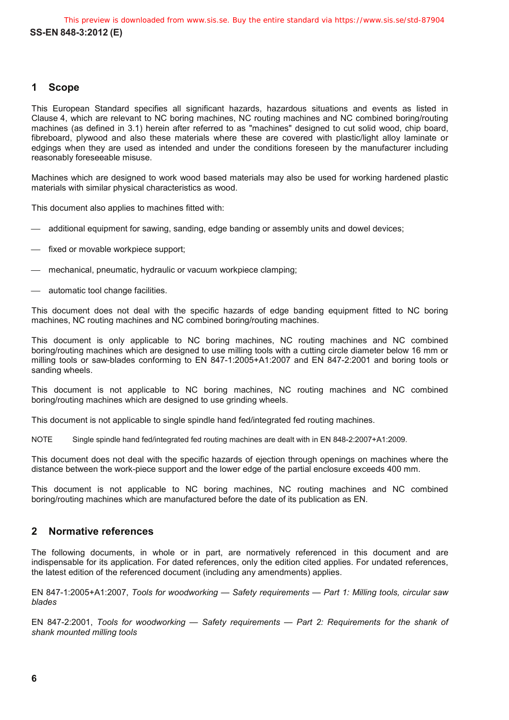### **1 Scope**

This European Standard specifies all significant hazards, hazardous situations and events as listed in Clause 4, which are relevant to NC boring machines, NC routing machines and NC combined boring/routing machines (as defined in 3.1) herein after referred to as "machines" designed to cut solid wood, chip board, fibreboard, plywood and also these materials where these are covered with plastic/light alloy laminate or edgings when they are used as intended and under the conditions foreseen by the manufacturer including reasonably foreseeable misuse.

Machines which are designed to work wood based materials may also be used for working hardened plastic materials with similar physical characteristics as wood.

This document also applies to machines fitted with:

- additional equipment for sawing, sanding, edge banding or assembly units and dowel devices;
- fixed or movable workpiece support;
- mechanical, pneumatic, hydraulic or vacuum workpiece clamping;
- automatic tool change facilities.

This document does not deal with the specific hazards of edge banding equipment fitted to NC boring machines, NC routing machines and NC combined boring/routing machines.

This document is only applicable to NC boring machines, NC routing machines and NC combined boring/routing machines which are designed to use milling tools with a cutting circle diameter below 16 mm or milling tools or saw-blades conforming to EN 847-1:2005+A1:2007 and EN 847-2:2001 and boring tools or sanding wheels.

This document is not applicable to NC boring machines, NC routing machines and NC combined boring/routing machines which are designed to use grinding wheels.

This document is not applicable to single spindle hand fed/integrated fed routing machines.

NOTE Single spindle hand fed/integrated fed routing machines are dealt with in EN 848-2:2007+A1:2009.

This document does not deal with the specific hazards of ejection through openings on machines where the distance between the work-piece support and the lower edge of the partial enclosure exceeds 400 mm.

This document is not applicable to NC boring machines, NC routing machines and NC combined boring/routing machines which are manufactured before the date of its publication as EN.

### **2 Normative references**

The following documents, in whole or in part, are normatively referenced in this document and are indispensable for its application. For dated references, only the edition cited applies. For undated references, the latest edition of the referenced document (including any amendments) applies.

EN 847-1:2005+A1:2007, *Tools for woodworking — Safety requirements — Part 1: Milling tools, circular saw blades*

EN 847-2:2001, *Tools for woodworking — Safety requirements — Part 2: Requirements for the shank of shank mounted milling tools*